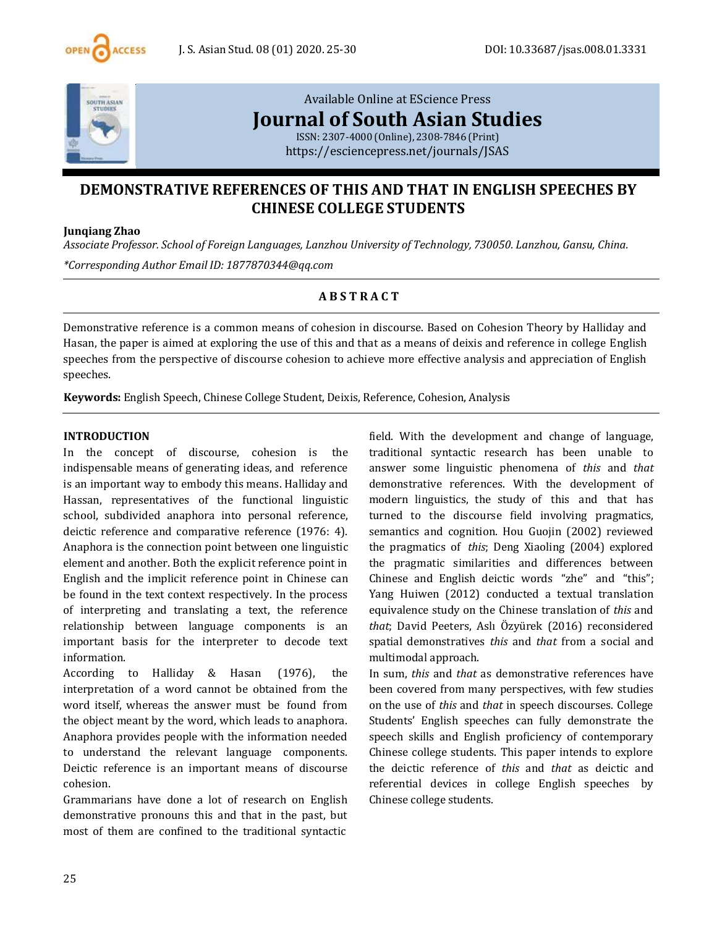



[Available](https://esciencepress.net/journals/JSAS) Online at EScience Press **[Journal](https://esciencepress.net/journals/JSAS) of South Asian Studies**

ISSN: [2307-4000](https://esciencepress.net/journals/JSAS) (Online), 2308-7846 (Print) <https://esciencepress.net/journals/JSAS>

# **DEMONSTRATIVE REFERENCES OF THIS AND THAT IN ENGLISH SPEECHES BY CHINESE COLLEGE STUDENTS**

#### **Junqiang Zhao**

*Associate Professor. School of Foreign Languages, Lanzhou University of Technology, 730050. Lanzhou, Gansu, China. \*Corresponding Author Email ID: [1877870344@qq.com](mailto:1877870344@qq.com)*

## **A B S T R A C T**

Demonstrative reference is a common means of cohesion in discourse. Based on Cohesion Theory by Halliday and Hasan, the paper is aimed at exploring the use of this and that as a means of deixis and reference in college English speeches from the perspective of discourse cohesion to achieve more effective analysis and appreciation of English speeches.

**Keywords:** English Speech, Chinese College Student, Deixis, Reference, Cohesion, Analysis

#### **INTRODUCTION**

In the concept of discourse, cohesion is the indispensable means of generating ideas, and reference is an important way to embody this means. Halliday and Hassan, representatives of the functional linguistic school, subdivided anaphora into personal reference, deictic reference and comparative reference (1976: 4). Anaphora is the connection point between one linguistic element and another. Both the explicit reference point in English and the implicit reference point in Chinese can be found in the text context respectively. In the process of interpreting and translating a text, the reference relationship between language components is an important basis for the interpreter to decode text information.

According to Halliday & Hasan (1976), the interpretation of a word cannot be obtained from the word itself, whereas the answer must be found from the object meant by the word, which leads to anaphora. Anaphora provides people with the information needed to understand the relevant language components. Deictic reference is an important means of discourse cohesion.

Grammarians have done a lot of research on English demonstrative pronouns this and that in the past, but most of them are confined to the traditional syntactic

field. With the development and change of language, traditional syntactic research has been unable to answer some linguistic phenomena of *this* and *that* demonstrative references. With the development of modern linguistics, the study of this and that has turned to the discourse field involving pragmatics, semantics and cognition. Hou Guojin (2002) reviewed the pragmatics of *this*; Deng Xiaoling (2004) explored the pragmatic similarities and differences between Chinese and English deictic words "zhe" and "this"; Yang Huiwen (2012) conducted a textual translation equivalence study on the Chinese translation of *this* and *that*; David Peeters, Aslı Özyürek (2016) reconsidered spatial demonstratives *this* and *that* from a social and multimodal approach.

In sum, *this* and *that* as demonstrative references have been covered from many perspectives, with few studies on the use of *this* and *that* in speech discourses. College Students' English speeches can fully demonstrate the speech skills and English proficiency of contemporary Chinese college students. This paper intends to explore the deictic reference of *this* and *that* as deictic and referential devices in college English speeches by Chinese college students.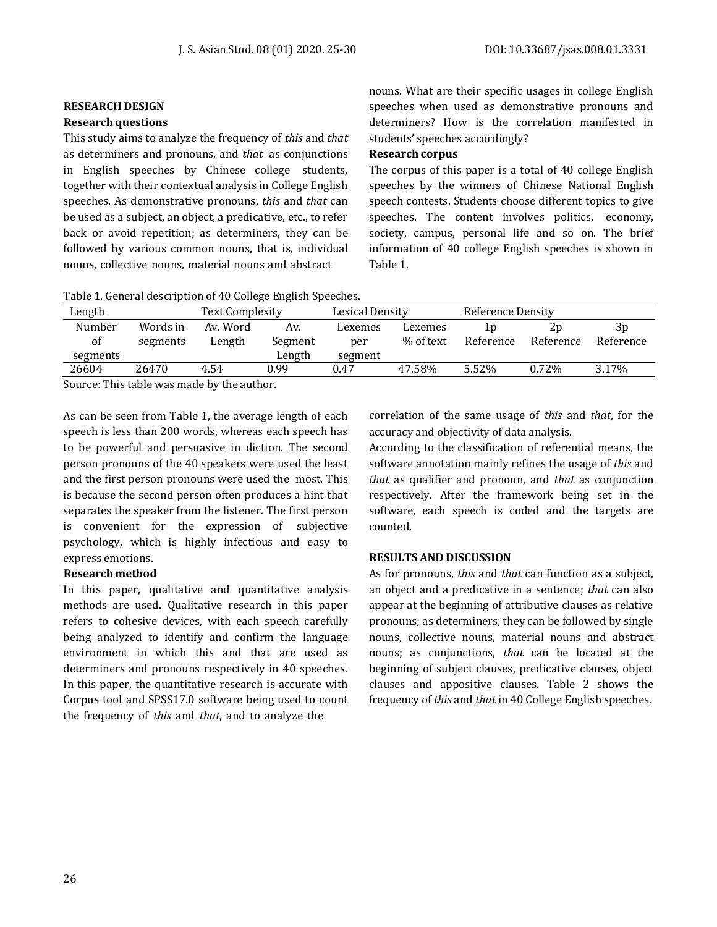#### **RESEARCH DESIGN**

#### **Research questions**

This study aims to analyze the frequency of *this* and *that* as determiners and pronouns, and *that* as conjunctions in English speeches by Chinese college students, together with their contextual analysis in College English speeches. As demonstrative pronouns, *this* and *that* can be used as a subject, an object, a predicative, etc., to refer back or avoid repetition; as determiners, they can be followed by various common nouns, that is, individual nouns, collective nouns, material nouns and abstract

nouns. What are their specific usages in college English speeches when used as demonstrative pronouns and determiners? How is the correlation manifested in students' speeches accordingly?

## **Research corpus**

The corpus of this paper is a total of 40 college English speeches by the winners of Chinese National English speech contests. Students choose different topics to give speeches. The content involves politics, economy, society, campus, personal life and so on. The brief information of 40 college English speeches is shown in Table 1.

Table 1. General description of 40 College English Speeches.

| Length                                   |          | Text Complexity |         | Lexical Density |           | Reference Density |           |           |
|------------------------------------------|----------|-----------------|---------|-----------------|-----------|-------------------|-----------|-----------|
| Number                                   | Words in | Av. Word        | Av.     | Lexemes         | Lexemes   | 1 n               | ۷p        | 3p        |
| of                                       | segments | Length          | Segment | per             | % of text | Reference         | Reference | Reference |
| segments                                 |          |                 | Length  | segment         |           |                   |           |           |
| 26604                                    | 26470    | 4.54            | 0.99    | 0.47            | 47.58%    | 5.52%             | 0.72%     | 3.17%     |
| Course This table was made by the outhor |          |                 |         |                 |           |                   |           |           |

Source: This table was made by the author.

As can be seen from Table 1, the average length of each speech is less than 200 words, whereas each speech has to be powerful and persuasive in diction. The second person pronouns of the 40 speakers were used the least and the first person pronouns were used the most. This is because the second person often produces a hint that separates the speaker from the listener. The first person is convenient for the expression of subjective psychology, which is highly infectious and easy to express emotions.

#### **Research method**

In this paper, qualitative and quantitative analysis methods are used. Qualitative research in this paper refers to cohesive devices, with each speech carefully being analyzed to identify and confirm the language environment in which this and that are used as determiners and pronouns respectively in 40 speeches. In this paper, the quantitative research is accurate with Corpus tool and SPSS17.0 software being used to count the frequency of *this* and *that*, and to analyze the

correlation of the same usage of *this* and *that*, for the accuracy and objectivity of data analysis.

According to the classification of referential means, the software annotation mainly refines the usage of *this* and *that* as qualifier and pronoun, and *that* as conjunction respectively. After the framework being set in the software, each speech is coded and the targets are counted.

#### **RESULTS AND DISCUSSION**

As for pronouns, *this* and *that* can function as a subject, an object and a predicative in a sentence; *that* can also appear at the beginning of attributive clauses as relative pronouns; as determiners, they can be followed by single nouns, collective nouns, material nouns and abstract nouns; as conjunctions, *that* can be located at the beginning of subject clauses, predicative clauses, object clauses and appositive clauses. Table 2 shows the frequency of *this* and *that* in 40 College English speeches.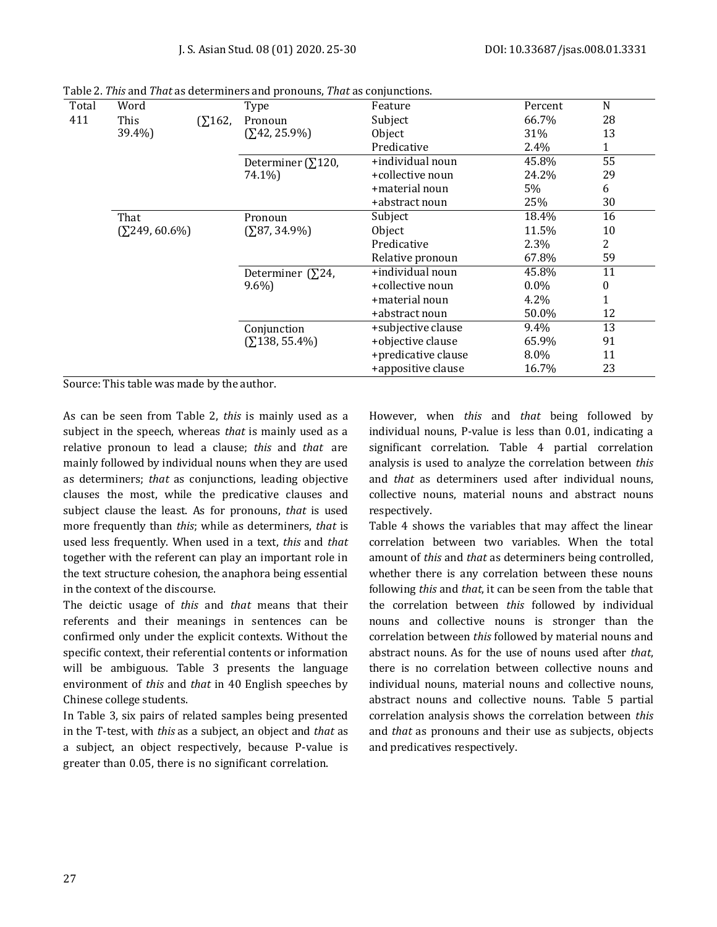| Total | Word                   |                   | Type                       | Feature             | Percent | N  |
|-------|------------------------|-------------------|----------------------------|---------------------|---------|----|
| 411   | This                   | $($ $\Sigma$ 162, | Pronoun                    | Subject             | 66.7%   | 28 |
|       | 39.4%)                 |                   | $(242, 25.9\%)$            | Object              | 31%     | 13 |
|       |                        |                   |                            | Predicative         | 2.4%    | 1  |
|       |                        |                   | Determiner ( $\Sigma$ 120, | +individual noun    | 45.8%   | 55 |
|       |                        |                   | 74.1%)                     | +collective noun    | 24.2%   | 29 |
|       |                        |                   |                            | +material noun      | 5%      | 6  |
|       |                        |                   |                            | +abstract noun      | 25%     | 30 |
|       | That                   |                   | Pronoun                    | Subject             | 18.4%   | 16 |
|       | $(\Sigma 249, 60.6\%)$ |                   | $(587, 34.9\%)$            | Object              | 11.5%   | 10 |
|       |                        |                   |                            | Predicative         | 2.3%    | 2  |
|       |                        |                   |                            | Relative pronoun    | 67.8%   | 59 |
|       |                        |                   | Determiner ( $\Sigma$ 24,  | +individual noun    | 45.8%   | 11 |
|       |                        |                   | $9.6\%$                    | +collective noun    | $0.0\%$ | 0  |
|       |                        |                   |                            | +material noun      | 4.2%    |    |
|       |                        |                   |                            | +abstract noun      | 50.0%   | 12 |
|       |                        |                   | Conjunction                | +subjective clause  | 9.4%    | 13 |
|       |                        |                   | $(2138, 55.4\%)$           | +objective clause   | 65.9%   | 91 |
|       |                        |                   |                            | +predicative clause | 8.0%    | 11 |
|       |                        |                   |                            | +appositive clause  | 16.7%   | 23 |

Table 2. *This* and *That* as determiners and pronouns, *That* as conjunctions.

Source: This table was made by the author.

As can be seen from Table 2, *this* is mainly used as a subject in the speech, whereas *that* is mainly used as a relative pronoun to lead a clause; *this* and *that* are mainly followed by individual nouns when they are used as determiners; *that* as conjunctions, leading objective clauses the most, while the predicative clauses and subject clause the least. As for pronouns, *that* is used more frequently than *this*; while as determiners, *that* is used less frequently. When used in a text, *this* and *that* together with the referent can play an important role in the text structure cohesion, the anaphora being essential in the context of the discourse.

The deictic usage of *this* and *that* means that their referents and their meanings in sentences can be confirmed only under the explicit contexts. Without the specific context, their referential contents or information will be ambiguous. Table 3 presents the language environment of *this* and *that* in 40 English speeches by Chinese college students.

In Table 3, six pairs of related samples being presented in the T-test, with *this* as a subject, an object and *that* as a subject, an object respectively, because P-value is greater than 0.05, there is no significant correlation.

However, when *this* and *that* being followed by individual nouns, P-value is less than 0.01, indicating a significant correlation. Table 4 partial correlation analysis is used to analyze the correlation between *this* and *that* as determiners used after individual nouns, collective nouns, material nouns and abstract nouns respectively.

Table 4 shows the variables that may affect the linear correlation between two variables. When the total amount of *this* and *that* as determiners being controlled, whether there is any correlation between these nouns following *this* and *that*, it can be seen from the table that the correlation between *this* followed by individual nouns and collective nouns is stronger than the correlation between *this* followed by material nouns and abstract nouns. As for the use of nouns used after *that*, there is no correlation between collective nouns and individual nouns, material nouns and collective nouns, abstract nouns and collective nouns. Table 5 partial correlation analysis shows the correlation between *this* and *that* as pronouns and their use as subjects, objects and predicatives respectively.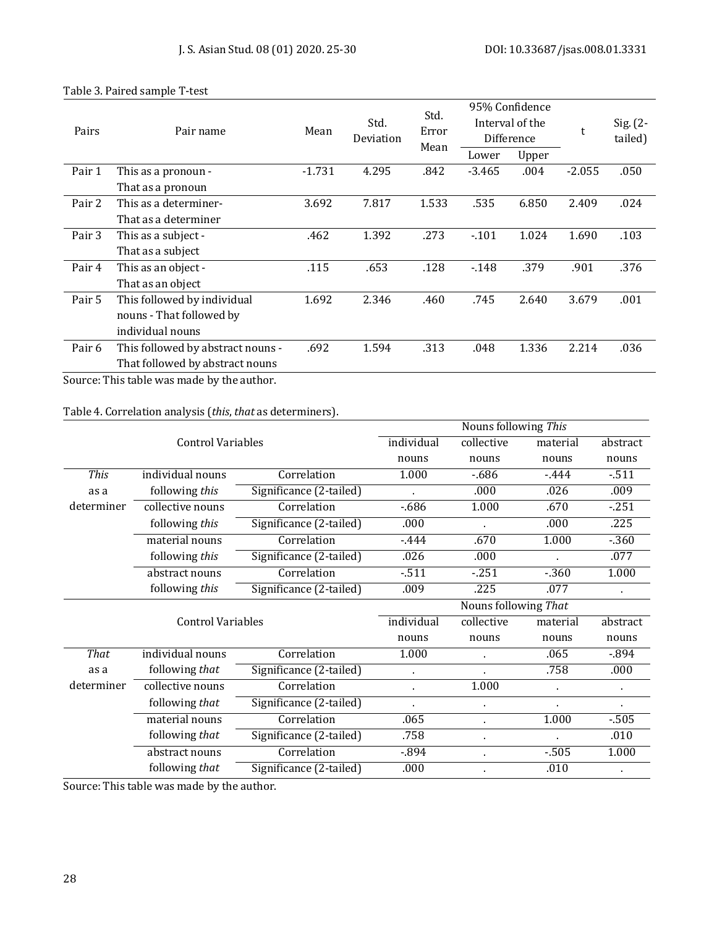| Pairs  | Pair name                         | Mean     | Std.<br>Deviation | Std.<br>Error<br>Mean |          | 95% Confidence<br>Interval of the<br>Difference | t        | $Sig. (2-$<br>tailed) |
|--------|-----------------------------------|----------|-------------------|-----------------------|----------|-------------------------------------------------|----------|-----------------------|
|        |                                   |          |                   |                       | Lower    | Upper                                           |          |                       |
| Pair 1 | This as a pronoun -               | $-1.731$ | 4.295             | .842                  | $-3.465$ | .004                                            | $-2.055$ | .050                  |
|        | That as a pronoun                 |          |                   |                       |          |                                                 |          |                       |
| Pair 2 | This as a determiner-             | 3.692    | 7.817             | 1.533                 | .535     | 6.850                                           | 2.409    | .024                  |
|        | That as a determiner              |          |                   |                       |          |                                                 |          |                       |
| Pair 3 | This as a subject -               | .462     | 1.392             | .273                  | $-101$   | 1.024                                           | 1.690    | .103                  |
|        | That as a subject                 |          |                   |                       |          |                                                 |          |                       |
| Pair 4 | This as an object -               | .115     | .653              | .128                  | $-148$   | .379                                            | .901     | .376                  |
|        | That as an object                 |          |                   |                       |          |                                                 |          |                       |
| Pair 5 | This followed by individual       | 1.692    | 2.346             | .460                  | .745     | 2.640                                           | 3.679    | .001                  |
|        | nouns - That followed by          |          |                   |                       |          |                                                 |          |                       |
|        | individual nouns                  |          |                   |                       |          |                                                 |          |                       |
| Pair 6 | This followed by abstract nouns - | .692     | 1.594             | .313                  | .048     | 1.336                                           | 2.214    | .036                  |
|        | That followed by abstract nouns   |          |                   |                       |          |                                                 |          |                       |

### Table 3. Paired sample T-test

Source: This table was made by the author.

## Table 4. Correlation analysis (*this*, *that* as determiners).

|             |                          |                         | Nouns following This |                      |          |          |  |  |
|-------------|--------------------------|-------------------------|----------------------|----------------------|----------|----------|--|--|
|             | <b>Control Variables</b> | individual              | collective           | material             | abstract |          |  |  |
|             |                          |                         | nouns                | nouns                | nouns    | nouns    |  |  |
| <b>This</b> | individual nouns         | Correlation             | 1.000                | $-686$               | $-444$   | $-511$   |  |  |
| as a        | following this           | Significance (2-tailed) |                      | .000                 | .026     | .009     |  |  |
| determiner  | collective nouns         | Correlation             | $-686$               | 1.000                | .670     | $-251$   |  |  |
|             | following this           | Significance (2-tailed) | .000                 |                      | .000     | .225     |  |  |
|             | material nouns           | Correlation             | $-444$               | .670                 | 1.000    | $-360$   |  |  |
|             | following this           | Significance (2-tailed) | .026                 | .000                 |          | .077     |  |  |
|             | abstract nouns           | Correlation             | $-511$               | $-251$               | $-360$   | 1.000    |  |  |
|             | following this           | Significance (2-tailed) | .009                 | .225                 | .077     |          |  |  |
|             |                          |                         |                      | Nouns following That |          |          |  |  |
|             | <b>Control Variables</b> |                         | individual           | collective           | material | abstract |  |  |
|             |                          |                         | nouns                | nouns                | nouns    | nouns    |  |  |
| That        | individual nouns         | Correlation             | 1.000                |                      | .065     | $-894$   |  |  |
| as a        | following that           | Significance (2-tailed) |                      | $\blacksquare$       | .758     | .000     |  |  |
| determiner  | collective nouns         | Correlation             |                      | 1.000                |          | ä,       |  |  |
|             | following that           | Significance (2-tailed) |                      |                      |          |          |  |  |
|             | material nouns           | Correlation             | .065                 | $\ddot{\phantom{a}}$ | 1.000    | $-505$   |  |  |
|             | following that           | Significance (2-tailed) | .758                 | $\blacksquare$       |          | .010     |  |  |
|             | abstract nouns           | Correlation             | $-894$               | $\blacksquare$       | $-505$   | 1.000    |  |  |
|             | following that           | Significance (2-tailed) | .000                 |                      | .010     |          |  |  |

Source: This table was made by the author.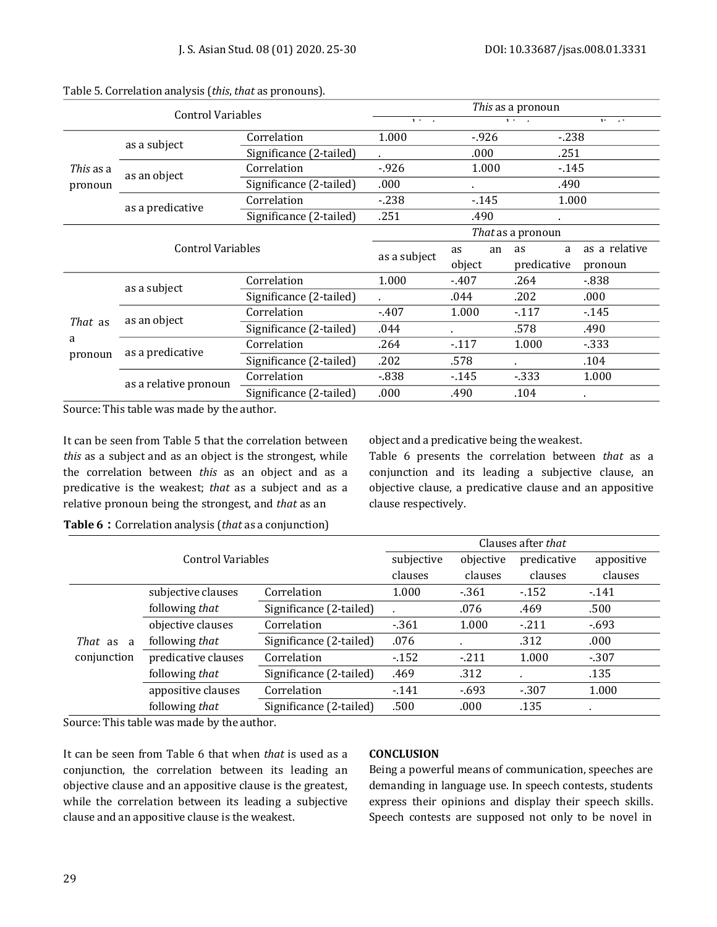| <b>Control Variables</b> |                       |                         | This as a pronoun |             |         |               |  |  |
|--------------------------|-----------------------|-------------------------|-------------------|-------------|---------|---------------|--|--|
|                          |                       |                         | $1.11 - 1.1$      |             | $1 + 1$ | 11.7.74       |  |  |
|                          | as a subject          | Correlation             | 1.000             | $-926$      | $-238$  |               |  |  |
|                          |                       | Significance (2-tailed) |                   | .000        | .251    |               |  |  |
| This as a                | as an object          | Correlation             | $-926$            |             | $-145$  |               |  |  |
| pronoun                  |                       | Significance (2-tailed) | .000              | $\bullet$   | .490    |               |  |  |
|                          |                       | Correlation             | $-238$            | $-145$      | 1.000   |               |  |  |
|                          | as a predicative      | Significance (2-tailed) | .251              | .490        |         |               |  |  |
| Control Variables        |                       |                         | That as a pronoun |             |         |               |  |  |
|                          |                       |                         | as a subject      | an<br>as    | as<br>a | as a relative |  |  |
|                          |                       | object                  |                   | predicative | pronoun |               |  |  |
|                          | as a subject          | Correlation             | 1.000             | $-407$      | .264    | $-838$        |  |  |
|                          |                       | Significance (2-tailed) |                   | .044        | .202    | .000          |  |  |
|                          | as an object          | Correlation             | $-407$            | 1.000       | $-117$  | $-145$        |  |  |
| That as                  |                       | Significance (2-tailed) | .044              |             | .578    | .490          |  |  |
| a<br>pronoun             | as a predicative      | Correlation             | .264              | $-117$      | 1.000   | $-333$        |  |  |
|                          |                       | Significance (2-tailed) | .202              | .578        |         | .104          |  |  |
|                          | as a relative pronoun | Correlation             | $-838$            | $-145$      | $-333$  | 1.000         |  |  |
|                          |                       | Significance (2-tailed) | .000              | .490        | .104    | $\sim$        |  |  |

#### Table 5. Correlation analysis (*this*, *that* as pronouns).

Source: This table was made by the author.

It can be seen from Table 5 that the correlation between *this* as a subject and as an object is the strongest, while the correlation between *this* as an object and as a predicative is the weakest; *that* as a subject and as a relative pronoun being the strongest, and *that* as an

object and a predicative being the weakest.

Table 6 presents the correlation between *that* as a conjunction and its leading a subjective clause, an objective clause, a predicative clause and an appositive clause respectively.

**Table 6:**Correlation analysis (*that* as a conjunction)

|                         | Control Variables   |                         |        | Clauses after that |              |            |  |  |
|-------------------------|---------------------|-------------------------|--------|--------------------|--------------|------------|--|--|
|                         |                     |                         |        | objective          | predicative  | appositive |  |  |
|                         |                     |                         |        | clauses            | clauses      | clauses    |  |  |
|                         | subjective clauses  | Correlation             | 1.000  | $-361$             | $-152$       | $-141$     |  |  |
|                         | following that      | Significance (2-tailed) |        | .076               | .469         | .500       |  |  |
|                         | objective clauses   | Correlation             | $-361$ | 1.000              | $-211$       | $-693$     |  |  |
| That as<br><sup>2</sup> | following that      | Significance (2-tailed) | .076   |                    | .312         | .000       |  |  |
| conjunction             | predicative clauses | Correlation             | $-152$ | $-211$             | 1.000        | $-307$     |  |  |
|                         | following that      | Significance (2-tailed) | .469   | .312               | $\mathbf{r}$ | .135       |  |  |
|                         | appositive clauses  | Correlation             | $-141$ | $-693$             | $-307$       | 1.000      |  |  |
|                         | following that      | Significance (2-tailed) | .500   | .000               | .135         |            |  |  |

Source: This table was made by the author.

It can be seen from Table 6 that when *that* is used as a conjunction, the correlation between its leading an objective clause and an appositive clause is the greatest, while the correlation between its leading a subjective clause and an appositive clause is the weakest.

#### **CONCLUSION**

Being a powerful means of communication, speeches are demanding in language use. In speech contests, students express their opinions and display their speech skills. Speech contests are supposed not only to be novel in